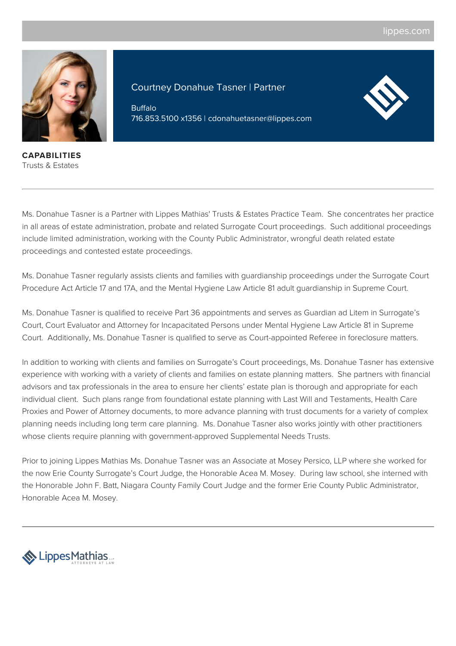

**CAPABILITIES** Trusts & Estates

Courtney Donahue Tasner | Partner

Buffalo 716.853.5100 x1356 | cdonahuetasner@lippes.com



Ms. Donahue Tasner is a Partner with Lippes Mathias' Trusts & Estates Practice Team. She concentrates her practice in all areas of estate administration, probate and related Surrogate Court proceedings. Such additional proceedings include limited administration, working with the County Public Administrator, wrongful death related estate proceedings and contested estate proceedings.

Ms. Donahue Tasner regularly assists clients and families with guardianship proceedings under the Surrogate Court Procedure Act Article 17 and 17A, and the Mental Hygiene Law Article 81 adult guardianship in Supreme Court.

Ms. Donahue Tasner is qualified to receive Part 36 appointments and serves as Guardian ad Litem in Surrogate's Court, Court Evaluator and Attorney for Incapacitated Persons under Mental Hygiene Law Article 81 in Supreme Court. Additionally, Ms. Donahue Tasner is qualified to serve as Court-appointed Referee in foreclosure matters.

In addition to working with clients and families on Surrogate's Court proceedings, Ms. Donahue Tasner has extensive experience with working with a variety of clients and families on estate planning matters. She partners with financial advisors and tax professionals in the area to ensure her clients' estate plan is thorough and appropriate for each individual client. Such plans range from foundational estate planning with Last Will and Testaments, Health Care Proxies and Power of Attorney documents, to more advance planning with trust documents for a variety of complex planning needs including long term care planning. Ms. Donahue Tasner also works jointly with other practitioners whose clients require planning with government-approved Supplemental Needs Trusts.

Prior to joining Lippes Mathias Ms. Donahue Tasner was an Associate at Mosey Persico, LLP where she worked for the now Erie County Surrogate's Court Judge, the Honorable Acea M. Mosey. During law school, she interned with the Honorable John F. Batt, Niagara County Family Court Judge and the former Erie County Public Administrator, Honorable Acea M. Mosey.